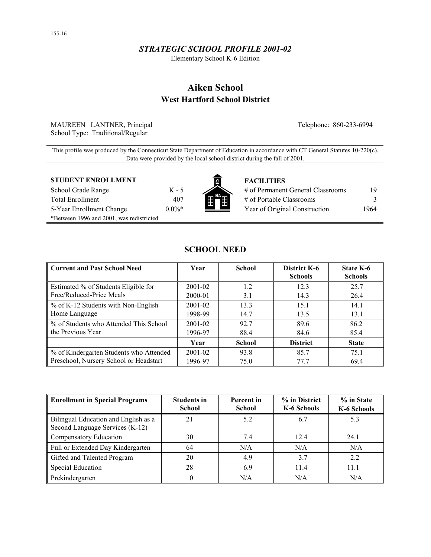## *STRATEGIC SCHOOL PROFILE 2001-02*

Elementary School K-6 Edition

# **Aiken School West Hartford School District**

MAUREEN LANTNER, Principal Telephone: 860-233-6994 School Type: Traditional/Regular

This profile was produced by the Connecticut State Department of Education in accordance with CT General Statutes 10-220(c). Data were provided by the local school district during the fall of 2001.

#### **STUDENT ENROLLMENT FACILITIES**

School Grade Range K - 5 Total Enrollment 407 5-Year Enrollment Change 0.0%\* \*Between 1996 and 2001, was redistricted



| # of Permanent General Classrooms | 19   |
|-----------------------------------|------|
| # of Portable Classrooms          |      |
| Year of Original Construction     | 1964 |

## **SCHOOL NEED**

| <b>Current and Past School Need</b>     | Year        | <b>School</b> | District K-6<br><b>Schools</b> | State K-6<br><b>Schools</b> |
|-----------------------------------------|-------------|---------------|--------------------------------|-----------------------------|
| Estimated % of Students Eligible for    | $2001 - 02$ | 1.2           | 12.3                           | 25.7                        |
| Free/Reduced-Price Meals                | 2000-01     | 3.1           | 14.3                           | 26.4                        |
| % of K-12 Students with Non-English     | $2001 - 02$ | 133           | 15.1                           | 14.1                        |
| Home Language                           | 1998-99     | 14.7          | 13.5                           | 13.1                        |
| % of Students who Attended This School  | $2001 - 02$ | 92.7          | 89.6                           | 86.2                        |
| the Previous Year                       | 1996-97     | 88.4          | 84.6                           | 85.4                        |
|                                         | Year        | <b>School</b> | <b>District</b>                | <b>State</b>                |
| % of Kindergarten Students who Attended | $2001 - 02$ | 93.8          | 85.7                           | 75.1                        |
| Preschool, Nursery School or Headstart  | 1996-97     | 75.0          | 77.7                           | 69.4                        |

| Enrollment in Special Programs                                          | <b>Students in</b><br><b>School</b> | Percent in<br><b>School</b> | % in District<br>K-6 Schools | % in State<br>K-6 Schools |
|-------------------------------------------------------------------------|-------------------------------------|-----------------------------|------------------------------|---------------------------|
| Bilingual Education and English as a<br>Second Language Services (K-12) | 21                                  | 5.2                         | 6.7                          | 5.3                       |
| Compensatory Education                                                  | 30                                  | 7.4                         | 12.4                         | 24.1                      |
| Full or Extended Day Kindergarten                                       | 64                                  | N/A                         | N/A                          | N/A                       |
| Gifted and Talented Program                                             | 20                                  | 4.9                         | 3.7                          | 2.2                       |
| <b>Special Education</b>                                                | 28                                  | 6.9                         | 11.4                         | 11.1                      |
| Prekindergarten                                                         | 0                                   | N/A                         | N/A                          | N/A                       |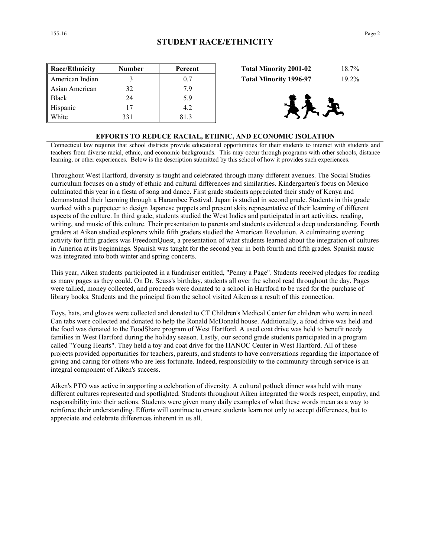| <b>Race/Ethnicity</b> | Number | Percent | $18.7\%$<br><b>Total Minority 2001-02</b> |
|-----------------------|--------|---------|-------------------------------------------|
| American Indian       |        | 0.7     | $19.2\%$<br><b>Total Minority 1996-97</b> |
| Asian American        | 32     | 7.9     |                                           |
| <b>Black</b>          | 24     | 5.9     |                                           |
| Hispanic              | 17     | 4.2     | 4天元                                       |
| White                 | 331    | 813     |                                           |

| <b>Total Minority 2001-02</b> | 18.7%    |
|-------------------------------|----------|
| <b>Total Minority 1996-97</b> | $19.2\%$ |



#### **EFFORTS TO REDUCE RACIAL, ETHNIC, AND ECONOMIC ISOLATION**

Connecticut law requires that school districts provide educational opportunities for their students to interact with students and teachers from diverse racial, ethnic, and economic backgrounds. This may occur through programs with other schools, distance learning, or other experiences. Below is the description submitted by this school of how it provides such experiences.

Throughout West Hartford, diversity is taught and celebrated through many different avenues. The Social Studies curriculum focuses on a study of ethnic and cultural differences and similarities. Kindergarten's focus on Mexico culminated this year in a fiesta of song and dance. First grade students appreciated their study of Kenya and demonstrated their learning through a Harambee Festival. Japan is studied in second grade. Students in this grade worked with a puppeteer to design Japanese puppets and present skits representative of their learning of different aspects of the culture. In third grade, students studied the West Indies and participated in art activities, reading, writing, and music of this culture. Their presentation to parents and students evidenced a deep understanding. Fourth graders at Aiken studied explorers while fifth graders studied the American Revolution. A culminating evening activity for fifth graders was FreedomQuest, a presentation of what students learned about the integration of cultures in America at its beginnings. Spanish was taught for the second year in both fourth and fifth grades. Spanish music was integrated into both winter and spring concerts.

This year, Aiken students participated in a fundraiser entitled, "Penny a Page". Students received pledges for reading as many pages as they could. On Dr. Seuss's birthday, students all over the school read throughout the day. Pages were tallied, money collected, and proceeds were donated to a school in Hartford to be used for the purchase of library books. Students and the principal from the school visited Aiken as a result of this connection.

Toys, hats, and gloves were collected and donated to CT Children's Medical Center for children who were in need. Can tabs were collected and donated to help the Ronald McDonald house. Additionally, a food drive was held and the food was donated to the FoodShare program of West Hartford. A used coat drive was held to benefit needy families in West Hartford during the holiday season. Lastly, our second grade students participated in a program called "Young Hearts". They held a toy and coat drive for the HANOC Center in West Hartford. All of these projects provided opportunities for teachers, parents, and students to have conversations regarding the importance of giving and caring for others who are less fortunate. Indeed, responsibility to the community through service is an integral component of Aiken's success.

Aiken's PTO was active in supporting a celebration of diversity. A cultural potluck dinner was held with many different cultures represented and spotlighted. Students throughout Aiken integrated the words respect, empathy, and responsibility into their actions. Students were given many daily examples of what these words mean as a way to reinforce their understanding. Efforts will continue to ensure students learn not only to accept differences, but to appreciate and celebrate differences inherent in us all.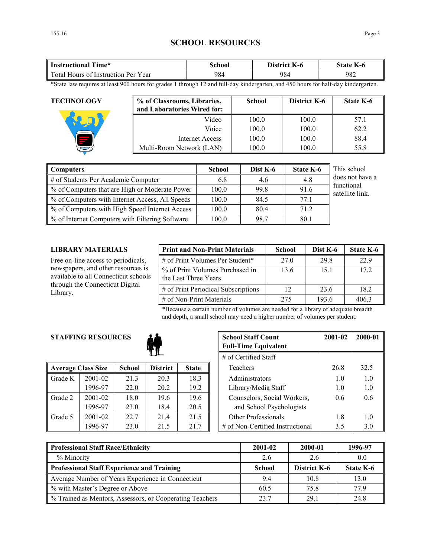## **SCHOOL RESOURCES**

| <b>Instructional Time*</b>          | School | District K-6 | <b>State K-6</b> |
|-------------------------------------|--------|--------------|------------------|
| Total Hours of Instruction Per Year | 984    | 984          | 982              |

\*State law requires at least 900 hours for grades 1 through 12 and full-day kindergarten, and 450 hours for half-day kindergarten.

| <b>TECHNOLOGY</b> | % of Classrooms, Libraries,<br>and Laboratories Wired for: | <b>School</b> | <b>District K-6</b> | <b>State K-6</b> |
|-------------------|------------------------------------------------------------|---------------|---------------------|------------------|
|                   | Video                                                      | 100.0         | 100.0               | 57.1             |
|                   | Voice                                                      | 100.0         | 100.0               | 62.2             |
|                   | Internet Access                                            | 100.0         | 100.0               | 88.4             |
|                   | Multi-Room Network (LAN)                                   | 100.0         | 100.0               | 55.8             |

| Computers                                       | <b>School</b> | Dist K-6 | <b>State K-6</b> | This school                   |
|-------------------------------------------------|---------------|----------|------------------|-------------------------------|
| # of Students Per Academic Computer             | 6.8           | 4.6      | 4.8              | does not have a               |
| % of Computers that are High or Moderate Power  | 100.0         | 99.8     | 91.6             | functional<br>satellite link. |
| % of Computers with Internet Access, All Speeds | 100.0         | 84.5     | 77.1             |                               |
| % of Computers with High Speed Internet Access  | 100.0         | 80.4     | 71.2             |                               |
| % of Internet Computers with Filtering Software | 100.0         | 98.7     | 80.1             |                               |

## **LIBRARY MATERIALS**

Free on-line access to periodicals, newspapers, and other resources is available to all Connecticut schools through the Connecticut Digital Library.

| <b>Print and Non-Print Materials</b>                    | <b>School</b> | Dist K-6 | State K-6 |
|---------------------------------------------------------|---------------|----------|-----------|
| # of Print Volumes Per Student*                         | 27.0          | 29.8     | 22.9      |
| % of Print Volumes Purchased in<br>the Last Three Years | 13.6          | 151      | 172       |
| # of Print Periodical Subscriptions                     | 12            | 23.6     | 18.2      |
| $\#$ of Non-Print Materials                             | 275           | 193.6    | 4063      |

\*Because a certain number of volumes are needed for a library of adequate breadth and depth, a small school may need a higher number of volumes per student.

## **STAFFING RESOURCES**



|         | <b>Average Class Size</b> | <b>School</b> | <b>District</b> | <b>State</b> |
|---------|---------------------------|---------------|-----------------|--------------|
| Grade K | 2001-02                   | 21.3          | 20.3            | 18.3         |
|         | 1996-97                   | 22.0          | 20.2            | 19.2         |
| Grade 2 | 2001-02                   | 18.0          | 19.6            | 19.6         |
|         | 1996-97                   | 23.0          | 18.4            | 20.5         |
| Grade 5 | 2001-02                   | 22.7          | 21.4            | 21.5         |
|         | 1996-97                   | 23.0          | 21.5            | 21.7         |

| <b>RESOURCES</b>       |               | <b>School Staff Count</b><br><b>Full-Time Equivalent</b> | 2001-02      | 2000-01 |                                  |      |      |
|------------------------|---------------|----------------------------------------------------------|--------------|---------|----------------------------------|------|------|
| $#$ of Certified Staff |               |                                                          |              |         |                                  |      |      |
| ass Size               | <b>School</b> | <b>District</b>                                          | <b>State</b> |         | Teachers                         | 26.8 | 32.5 |
| 2001-02                | 21.3          | 20.3                                                     | 18.3         |         | Administrators                   | 1.0  | 1.0  |
| 1996-97                | 22.0          | 20.2                                                     | 19.2         |         | Library/Media Staff              | 1.0  | 1.0  |
| 2001-02                | 18.0          | 19.6                                                     | 19.6         |         | Counselors, Social Workers,      | 0.6  | 0.6  |
| 1996-97                | 23.0          | 18.4                                                     | 20.5         |         | and School Psychologists         |      |      |
| 2001-02                | 22.7          | 21.4                                                     | 21.5         |         | <b>Other Professionals</b>       | 1.8  | 1.0  |
| 1996-97                | 23.0          | 21.5                                                     | 21.7         |         | # of Non-Certified Instructional | 3.5  | 3.0  |

| <b>Professional Staff Race/Ethnicity</b>                 | 2001-02       | 2000-01      | 1996-97   |
|----------------------------------------------------------|---------------|--------------|-----------|
| % Minority                                               | 2.6           | 26           | 0.0       |
| <b>Professional Staff Experience and Training</b>        | <b>School</b> | District K-6 | State K-6 |
| Average Number of Years Experience in Connecticut        | 9.4           | 10.8         | 13.0      |
| % with Master's Degree or Above                          | 60.5          | 75.8         | 77 9      |
| % Trained as Mentors, Assessors, or Cooperating Teachers | 23.7          | 29.1         | 24.8      |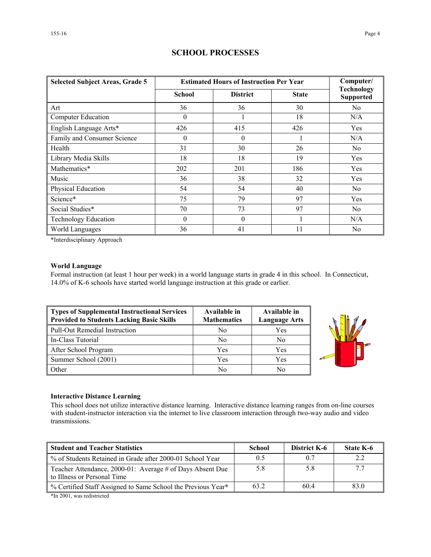| <b>Selected Subject Areas, Grade 5</b> | <b>Estimated Hours of Instruction Per Year</b> | Computer/       |              |                                       |
|----------------------------------------|------------------------------------------------|-----------------|--------------|---------------------------------------|
|                                        | School                                         | <b>District</b> | <b>State</b> | <b>Technology</b><br><b>Supported</b> |
| Art                                    | 36                                             | 36              | 30           | No                                    |
| Computer Education                     | $\theta$                                       |                 | 18           | N/A                                   |
| English Language Arts*                 | 426                                            | 415             | 426          | Yes                                   |
| Family and Consumer Science            | $\theta$                                       | $\theta$        |              | N/A                                   |
| Health                                 | 31                                             | 30              | 26           | N <sub>0</sub>                        |
| Library Media Skills                   | 18                                             | 18              | 19           | Yes                                   |
| Mathematics*                           | 202                                            | 201             | 186          | Yes                                   |
| Music                                  | 36                                             | 38              | 32           | Yes                                   |
| Physical Education                     | 54                                             | 54              | 40           | N <sub>0</sub>                        |
| Science*                               | 75                                             | 79              | 97           | Yes                                   |
| Social Studies*                        | 70                                             | 73              | 97           | N <sub>0</sub>                        |
| <b>Technology Education</b>            | $\theta$                                       | $\Omega$        |              | N/A                                   |
| World Languages                        | 36                                             | 41              | 11           | N <sub>0</sub>                        |

## **SCHOOL PROCESSES**

\*Interdisciplinary Approach

## **World Language**

Formal instruction (at least 1 hour per week) in a world language starts in grade 4 in this school. In Connecticut, 14.0% of K-6 schools have started world language instruction at this grade or earlier.

| Types of Supplemental Instructional Services<br>Provided to Students Lacking Basic Skills | Available in<br><b>Mathematics</b> | Available in<br><b>Language Arts</b> |
|-------------------------------------------------------------------------------------------|------------------------------------|--------------------------------------|
| Pull-Out Remedial Instruction                                                             | No                                 | Yes                                  |
| In-Class Tutorial                                                                         | N <sub>0</sub>                     | N <sub>0</sub>                       |
| After School Program                                                                      | Yes                                | Yes                                  |
| Summer School (2001)                                                                      | Yes                                | Yes                                  |
| <b>Other</b>                                                                              | No                                 | No                                   |



## **Interactive Distance Learning**

This school does not utilize interactive distance learning. Interactive distance learning ranges from on-line courses with student-instructor interaction via the internet to live classroom interaction through two-way audio and video transmissions.

| <b>Student and Teacher Statistics</b>                                                    | <b>School</b> | District K-6 | State K-6 |
|------------------------------------------------------------------------------------------|---------------|--------------|-----------|
| ■ % of Students Retained in Grade after 2000-01 School Year                              | 0.5           | 0.7          | 2.2       |
| Teacher Attendance, 2000-01: Average # of Days Absent Due<br>to Illness or Personal Time | 5.8           | 5.8          |           |
| ∥ % Certified Staff Assigned to Same School the Previous Year*                           | 63.2          | 604          | 83.0      |

\*In 2001, was redistricted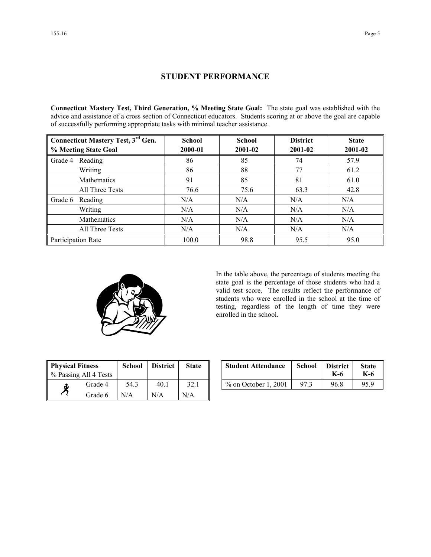## **STUDENT PERFORMANCE**

**Connecticut Mastery Test, Third Generation, % Meeting State Goal:** The state goal was established with the advice and assistance of a cross section of Connecticut educators. Students scoring at or above the goal are capable of successfully performing appropriate tasks with minimal teacher assistance.

| <b>Connecticut Mastery Test, 3rd Gen.</b> | <b>School</b> | <b>School</b> | <b>District</b> | <b>State</b><br>2001-02 |  |
|-------------------------------------------|---------------|---------------|-----------------|-------------------------|--|
| % Meeting State Goal                      | 2000-01       | 2001-02       | 2001-02         |                         |  |
| Reading<br>Grade 4                        | 86            | 85            | 74              | 57.9                    |  |
| Writing                                   | 86            | 88            | 77              | 61.2                    |  |
| <b>Mathematics</b>                        | 91            | 85            | 81              | 61.0                    |  |
| All Three Tests                           | 76.6          | 75.6          | 63.3            | 42.8                    |  |
| Grade 6<br>Reading                        | N/A           | N/A           | N/A             | N/A                     |  |
| Writing                                   | N/A           | N/A           | N/A             | N/A                     |  |
| Mathematics                               | N/A           | N/A           | N/A             | N/A                     |  |
| All Three Tests                           | N/A           | N/A           | N/A             | N/A                     |  |
| Participation Rate                        | 100.0         | 98.8          | 95.5            | 95.0                    |  |



In the table above, the percentage of students meeting the state goal is the percentage of those students who had a valid test score. The results reflect the performance of students who were enrolled in the school at the time of testing, regardless of the length of time they were enrolled in the school.

| <b>Physical Fitness</b><br>% Passing All 4 Tests |         | <b>School</b> | <b>District</b> | <b>State</b> |
|--------------------------------------------------|---------|---------------|-----------------|--------------|
| đ.                                               | Grade 4 | 54.3          | 40.1            | 32.1         |
|                                                  | Grade 6 | N/A           | N/A             | N/A          |

| ness<br>ll 4 Tests | School | <b>District</b> | <b>State</b> | <b>Student Attendance</b> | School | <b>District</b><br>K-6 | <b>State</b><br>K-6 |
|--------------------|--------|-----------------|--------------|---------------------------|--------|------------------------|---------------------|
| Grade 4            | 54.3   | 40.1            | 32.1         | $\%$ on October 1, 2001   | 973    | 96.8                   | 95.9                |